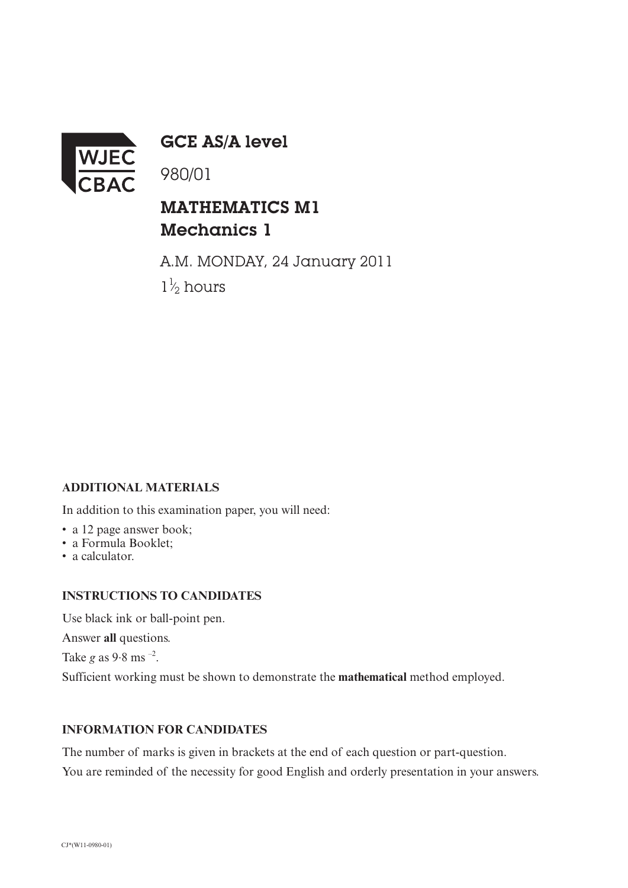

GCE AS/A level

980/01

## MATHEMATICS M1 Mechanics 1

A.M. MONDAY, 24 January 2011  $1\frac{1}{2}$  hours ⁄

### **ADDITIONAL MATERIALS**

In addition to this examination paper, you will need:

- a 12 page answer book;
- a Formula Booklet;
- a calculator.

#### **INSTRUCTIONS TO CANDIDATES**

Use black ink or ball-point pen.

Answer **all** questions.

Take  $g$  as  $9.8$  ms  $^{-2}$ .

Sufficient working must be shown to demonstrate the **mathematical** method employed.

#### **INFORMATION FOR CANDIDATES**

The number of marks is given in brackets at the end of each question or part-question. You are reminded of the necessity for good English and orderly presentation in your answers.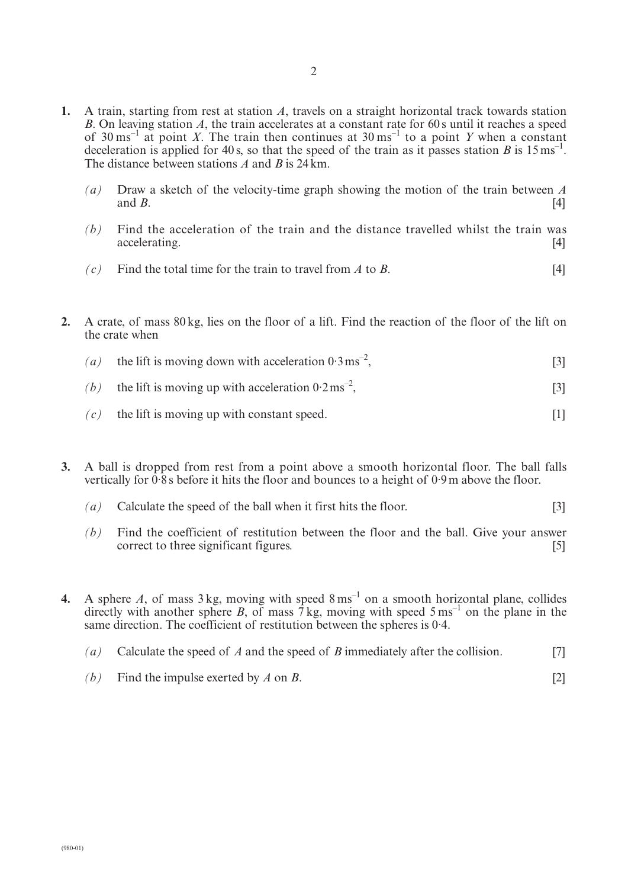- **1.** A train, starting from rest at station *A*, travels on a straight horizontal track towards station *B*. On leaving station *A*, the train accelerates at a constant rate for 60 s until it reaches a speed of  $30 \text{ ms}^{-1}$  at point *X*. The train then continues at  $30 \text{ ms}^{-1}$  to a point *Y* when a constant deceleration is applied for 40 s, so that the speed of the train as it passes station *B* is  $15 \text{ ms}^{-1}$ . The distance between stations *A* and *B* is 24km.
	- *(a)* Draw a sketch of the velocity-time graph showing the motion of the train between *A* and *B*.  $[4]$
	- *(b)* Find the acceleration of the train and the distance travelled whilst the train was accelerating. [4]
	- $(c)$  Find the total time for the train to travel from *A* to *B*. [4]
- **2.** A crate, of mass 80 kg, lies on the floor of a lift. Find the reaction of the floor of the lift on the crate when
	- (a) the lift is moving down with acceleration  $0.3 \text{ ms}^{-2}$ ,  $\left[3\right]$  (3)
	- *(b)* the lift is moving up with acceleration  $0.2 \text{ ms}^{-2}$ .  $\left[3\right]$  (3)
	- $(c)$  the lift is moving up with constant speed. [1]
- **3.** A ball is dropped from rest from a point above a smooth horizontal floor. The ball falls vertically for  $0.\overline{8}$  s before it hits the floor and bounces to a height of  $0.9$ m above the floor.
	- *(a)* Calculate the speed of the ball when it first hits the floor. [3]
	- *(b)* Find the coefficient of restitution between the floor and the ball. Give your answer correct to three significant figures. [5]

**4.** A sphere *A*, of mass  $3 \text{ kg}$ , moving with speed  $8 \text{ ms}^{-1}$  on a smooth horizontal plane, collides directly with another sphere *B*, of mass  $\overline{7}$  kg, moving with speed  $5 \text{ ms}^{-1}$  on the plane in the same direction. The coefficient of restitution between the spheres is 0·4.

- *(a)* Calculate the speed of *A* and the speed of *B* immediately after the collision. [7]
- *(b)* Find the impulse exerted by *A* on *B*. [2]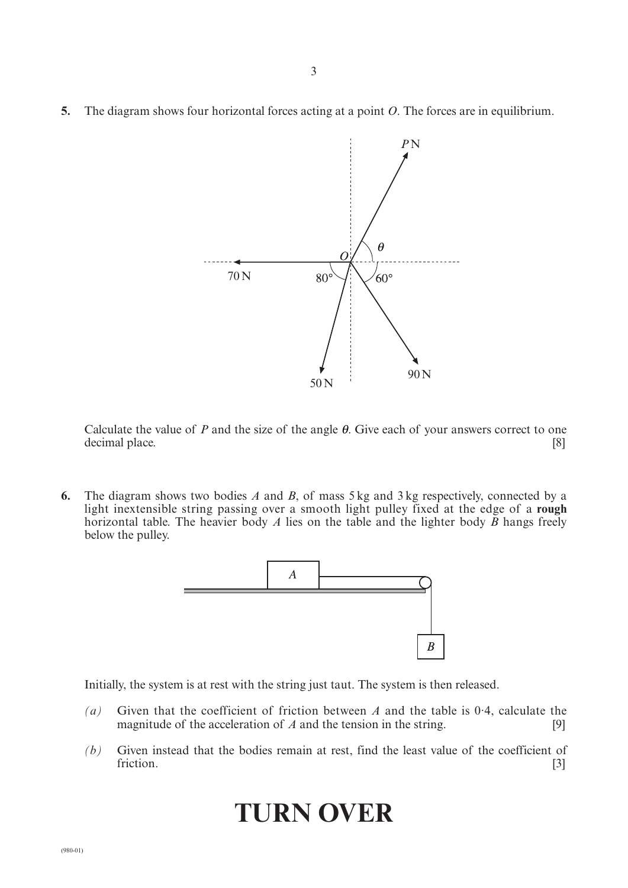**5.** The diagram shows four horizontal forces acting at a point *O*. The forces are in equilibrium.



Calculate the value of  $P$  and the size of the angle  $\theta$ . Give each of your answers correct to one decimal place. [8]

**6.** The diagram shows two bodies *A* and *B*, of mass 5 kg and 3 kg respectively, connected by a light inextensible string passing over a smooth light pulley fixed at the edge of a **rough** horizontal table. The heavier body *A* lies on the table and the lighter body *B* hangs freely below the pulley.



Initially, the system is at rest with the string just taut. The system is then released.

- *(a)* Given that the coefficient of friction between *A* and the table is 0·4, calculate the magnitude of the acceleration of *A* and the tension in the string. [9]
- *(b)* Given instead that the bodies remain at rest, find the least value of the coefficient of friction. [3]

# **TURN OVER**